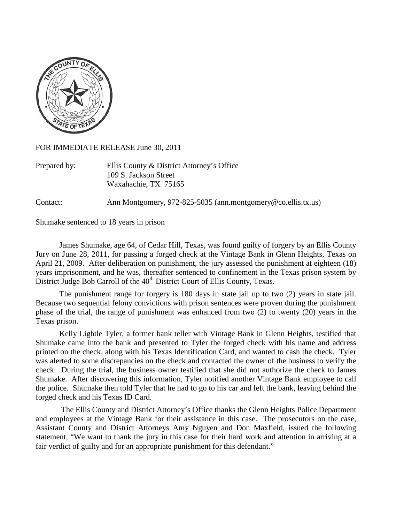

FOR IMMEDIATE RELEASE June 30, 2011

| Prepared by: | Ellis County & District Attorney's Office |
|--------------|-------------------------------------------|
|              | 109 S. Jackson Street                     |
|              | Waxahachie, TX 75165                      |

Contact: Ann Montgomery, 972-825-5035 (ann.montgomery@co.ellis.tx.us)

Shumake sentenced to 18 years in prison

James Shumake, age 64, of Cedar Hill, Texas, was found guilty of forgery by an Ellis County Jury on June 28, 2011, for passing a forged check at the Vintage Bank in Glenn Heights, Texas on April 21, 2009. After deliberation on punishment, the jury assessed the punishment at eighteen (18) years imprisonment, and he was, thereafter sentenced to confinement in the Texas prison system by District Judge Bob Carroll of the  $40<sup>th</sup>$  District Court of Ellis County, Texas.

The punishment range for forgery is 180 days in state jail up to two (2) years in state jail. Because two sequential felony convictions with prison sentences were proven during the punishment phase of the trial, the range of punishment was enhanced from two (2) to twenty (20) years in the Texas prison.

Kelly Lightle Tyler, a former bank teller with Vintage Bank in Glenn Heights, testified that Shumake came into the bank and presented to Tyler the forged check with his name and address printed on the check, along with his Texas Identification Card, and wanted to cash the check. Tyler was alerted to some discrepancies on the check and contacted the owner of the business to verify the check. During the trial, the business owner testified that she did not authorize the check to James Shumake. After discovering this information, Tyler notified another Vintage Bank employee to call the police. Shumake then told Tyler that he had to go to his car and left the bank, leaving behind the forged check and his Texas ID Card.

The Ellis County and District Attorney's Office thanks the Glenn Heights Police Department and employees at the Vintage Bank for their assistance in this case. The prosecutors on the case, Assistant County and District Attorneys Amy Nguyen and Don Maxfield, issued the following statement, "We want to thank the jury in this case for their hard work and attention in arriving at a fair verdict of guilty and for an appropriate punishment for this defendant."